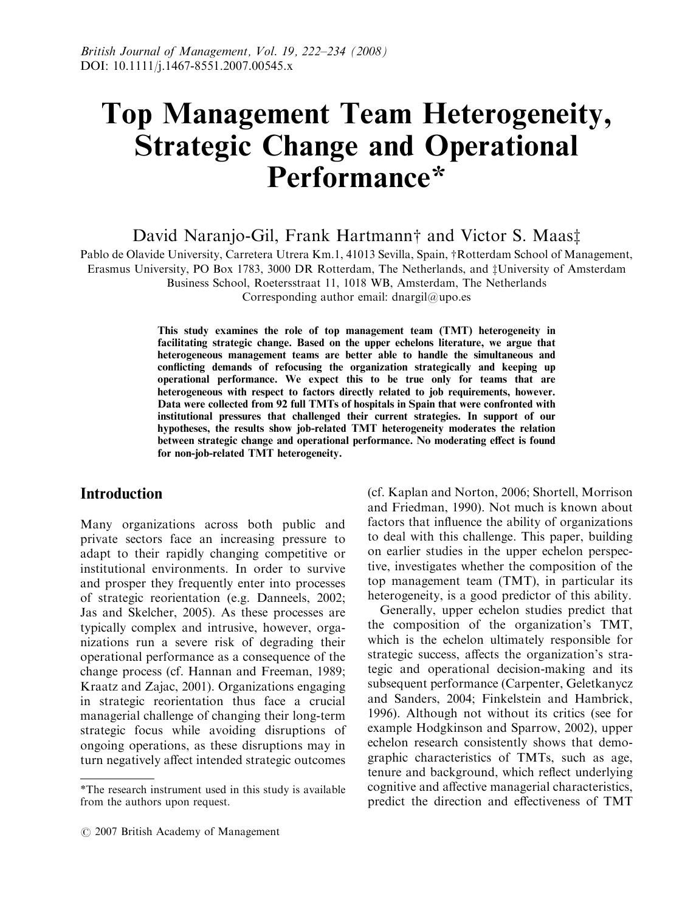# Top Management Team Heterogeneity, Strategic Change and Operational Performance\*

David Naranjo-Gil, Frank Hartmann† and Victor S. Maas‡

Pablo de Olavide University, Carretera Utrera Km.1, 41013 Sevilla, Spain, †Rotterdam School of Management, Erasmus University, PO Box 1783, 3000 DR Rotterdam, The Netherlands, and ‡University of Amsterdam Business School, Roetersstraat 11, 1018 WB, Amsterdam, The Netherlands

Corresponding author email: dnargil $@$ upo.es

This study examines the role of top management team (TMT) heterogeneity in facilitating strategic change. Based on the upper echelons literature, we argue that heterogeneous management teams are better able to handle the simultaneous and conflicting demands of refocusing the organization strategically and keeping up operational performance. We expect this to be true only for teams that are heterogeneous with respect to factors directly related to job requirements, however. Data were collected from 92 full TMTs of hospitals in Spain that were confronted with institutional pressures that challenged their current strategies. In support of our hypotheses, the results show job-related TMT heterogeneity moderates the relation between strategic change and operational performance. No moderating effect is found for non-job-related TMT heterogeneity.

# Introduction

Many organizations across both public and private sectors face an increasing pressure to adapt to their rapidly changing competitive or institutional environments. In order to survive and prosper they frequently enter into processes of strategic reorientation (e.g. Danneels, 2002; Jas and Skelcher, 2005). As these processes are typically complex and intrusive, however, organizations run a severe risk of degrading their operational performance as a consequence of the change process (cf. Hannan and Freeman, 1989; Kraatz and Zajac, 2001). Organizations engaging in strategic reorientation thus face a crucial managerial challenge of changing their long-term strategic focus while avoiding disruptions of ongoing operations, as these disruptions may in turn negatively affect intended strategic outcomes (cf. Kaplan and Norton, 2006; Shortell, Morrison and Friedman, 1990). Not much is known about factors that influence the ability of organizations to deal with this challenge. This paper, building on earlier studies in the upper echelon perspective, investigates whether the composition of the top management team (TMT), in particular its heterogeneity, is a good predictor of this ability.

Generally, upper echelon studies predict that the composition of the organization's TMT, which is the echelon ultimately responsible for strategic success, affects the organization's strategic and operational decision-making and its subsequent performance (Carpenter, Geletkanycz and Sanders, 2004; Finkelstein and Hambrick, 1996). Although not without its critics (see for example Hodgkinson and Sparrow, 2002), upper echelon research consistently shows that demographic characteristics of TMTs, such as age, tenure and background, which reflect underlying cognitive and affective managerial characteristics, predict the direction and effectiveness of TMT

<sup>\*</sup>The research instrument used in this study is available from the authors upon request.

 $\circ$  2007 British Academy of Management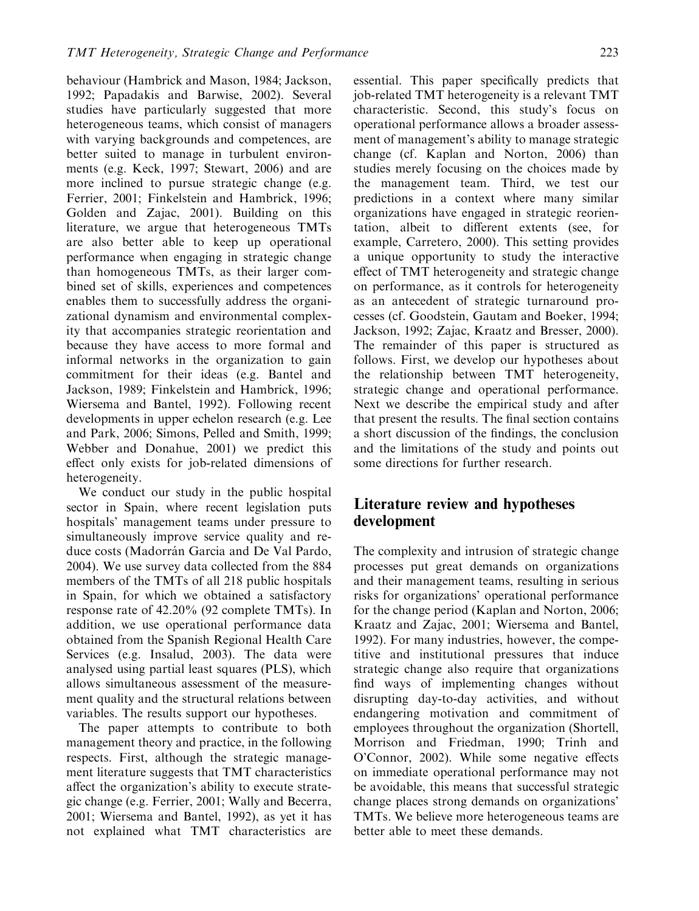behaviour (Hambrick and Mason, 1984; Jackson, 1992; Papadakis and Barwise, 2002). Several studies have particularly suggested that more heterogeneous teams, which consist of managers with varying backgrounds and competences, are better suited to manage in turbulent environments (e.g. Keck, 1997; Stewart, 2006) and are more inclined to pursue strategic change (e.g. Ferrier, 2001; Finkelstein and Hambrick, 1996; Golden and Zajac, 2001). Building on this literature, we argue that heterogeneous TMTs are also better able to keep up operational performance when engaging in strategic change than homogeneous TMTs, as their larger combined set of skills, experiences and competences enables them to successfully address the organizational dynamism and environmental complexity that accompanies strategic reorientation and because they have access to more formal and informal networks in the organization to gain commitment for their ideas (e.g. Bantel and Jackson, 1989; Finkelstein and Hambrick, 1996; Wiersema and Bantel, 1992). Following recent developments in upper echelon research (e.g. Lee and Park, 2006; Simons, Pelled and Smith, 1999; Webber and Donahue, 2001) we predict this effect only exists for job-related dimensions of heterogeneity.

We conduct our study in the public hospital sector in Spain, where recent legislation puts hospitals' management teams under pressure to simultaneously improve service quality and reduce costs (Madorrán Garcia and De Val Pardo, 2004). We use survey data collected from the 884 members of the TMTs of all 218 public hospitals in Spain, for which we obtained a satisfactory response rate of 42.20% (92 complete TMTs). In addition, we use operational performance data obtained from the Spanish Regional Health Care Services (e.g. Insalud, 2003). The data were analysed using partial least squares (PLS), which allows simultaneous assessment of the measurement quality and the structural relations between variables. The results support our hypotheses.

The paper attempts to contribute to both management theory and practice, in the following respects. First, although the strategic management literature suggests that TMT characteristics affect the organization's ability to execute strategic change (e.g. Ferrier, 2001; Wally and Becerra, 2001; Wiersema and Bantel, 1992), as yet it has not explained what TMT characteristics are

essential. This paper specifically predicts that job-related TMT heterogeneity is a relevant TMT characteristic. Second, this study's focus on operational performance allows a broader assessment of management's ability to manage strategic change (cf. Kaplan and Norton, 2006) than studies merely focusing on the choices made by the management team. Third, we test our predictions in a context where many similar organizations have engaged in strategic reorientation, albeit to different extents (see, for example, Carretero, 2000). This setting provides a unique opportunity to study the interactive effect of TMT heterogeneity and strategic change on performance, as it controls for heterogeneity as an antecedent of strategic turnaround processes (cf. Goodstein, Gautam and Boeker, 1994; Jackson, 1992; Zajac, Kraatz and Bresser, 2000). The remainder of this paper is structured as follows. First, we develop our hypotheses about the relationship between TMT heterogeneity, strategic change and operational performance. Next we describe the empirical study and after that present the results. The final section contains a short discussion of the findings, the conclusion and the limitations of the study and points out some directions for further research.

# Literature review and hypotheses development

The complexity and intrusion of strategic change processes put great demands on organizations and their management teams, resulting in serious risks for organizations' operational performance for the change period (Kaplan and Norton, 2006; Kraatz and Zajac, 2001; Wiersema and Bantel, 1992). For many industries, however, the competitive and institutional pressures that induce strategic change also require that organizations find ways of implementing changes without disrupting day-to-day activities, and without endangering motivation and commitment of employees throughout the organization (Shortell, Morrison and Friedman, 1990; Trinh and O'Connor, 2002). While some negative effects on immediate operational performance may not be avoidable, this means that successful strategic change places strong demands on organizations' TMTs. We believe more heterogeneous teams are better able to meet these demands.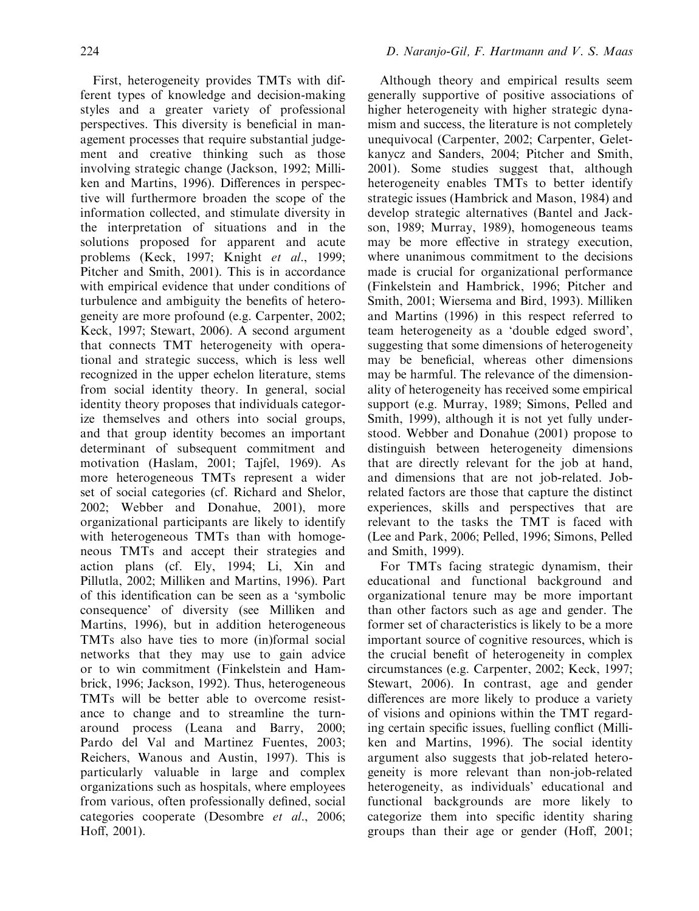First, heterogeneity provides TMTs with different types of knowledge and decision-making styles and a greater variety of professional perspectives. This diversity is beneficial in management processes that require substantial judgement and creative thinking such as those involving strategic change (Jackson, 1992; Milliken and Martins, 1996). Differences in perspective will furthermore broaden the scope of the information collected, and stimulate diversity in the interpretation of situations and in the solutions proposed for apparent and acute problems (Keck, 1997; Knight et al., 1999; Pitcher and Smith, 2001). This is in accordance with empirical evidence that under conditions of turbulence and ambiguity the benefits of heterogeneity are more profound (e.g. Carpenter, 2002; Keck, 1997; Stewart, 2006). A second argument that connects TMT heterogeneity with operational and strategic success, which is less well recognized in the upper echelon literature, stems from social identity theory. In general, social identity theory proposes that individuals categorize themselves and others into social groups, and that group identity becomes an important determinant of subsequent commitment and motivation (Haslam, 2001; Tajfel, 1969). As more heterogeneous TMTs represent a wider set of social categories (cf. Richard and Shelor, 2002; Webber and Donahue, 2001), more organizational participants are likely to identify with heterogeneous TMTs than with homogeneous TMTs and accept their strategies and action plans (cf. Ely, 1994; Li, Xin and Pillutla, 2002; Milliken and Martins, 1996). Part of this identification can be seen as a 'symbolic consequence' of diversity (see Milliken and Martins, 1996), but in addition heterogeneous TMTs also have ties to more (in)formal social networks that they may use to gain advice or to win commitment (Finkelstein and Hambrick, 1996; Jackson, 1992). Thus, heterogeneous TMTs will be better able to overcome resistance to change and to streamline the turnaround process (Leana and Barry, 2000; Pardo del Val and Martinez Fuentes, 2003; Reichers, Wanous and Austin, 1997). This is particularly valuable in large and complex organizations such as hospitals, where employees from various, often professionally defined, social categories cooperate (Desombre et al., 2006; Hoff, 2001).

Although theory and empirical results seem generally supportive of positive associations of higher heterogeneity with higher strategic dynamism and success, the literature is not completely unequivocal (Carpenter, 2002; Carpenter, Geletkanycz and Sanders, 2004; Pitcher and Smith, 2001). Some studies suggest that, although heterogeneity enables TMTs to better identify strategic issues (Hambrick and Mason, 1984) and develop strategic alternatives (Bantel and Jackson, 1989; Murray, 1989), homogeneous teams may be more effective in strategy execution, where unanimous commitment to the decisions made is crucial for organizational performance (Finkelstein and Hambrick, 1996; Pitcher and Smith, 2001; Wiersema and Bird, 1993). Milliken and Martins (1996) in this respect referred to team heterogeneity as a 'double edged sword', suggesting that some dimensions of heterogeneity may be beneficial, whereas other dimensions may be harmful. The relevance of the dimensionality of heterogeneity has received some empirical support (e.g. Murray, 1989; Simons, Pelled and Smith, 1999), although it is not yet fully understood. Webber and Donahue (2001) propose to distinguish between heterogeneity dimensions that are directly relevant for the job at hand, and dimensions that are not job-related. Jobrelated factors are those that capture the distinct experiences, skills and perspectives that are relevant to the tasks the TMT is faced with (Lee and Park, 2006; Pelled, 1996; Simons, Pelled and Smith, 1999).

For TMTs facing strategic dynamism, their educational and functional background and organizational tenure may be more important than other factors such as age and gender. The former set of characteristics is likely to be a more important source of cognitive resources, which is the crucial benefit of heterogeneity in complex circumstances (e.g. Carpenter, 2002; Keck, 1997; Stewart, 2006). In contrast, age and gender differences are more likely to produce a variety of visions and opinions within the TMT regarding certain specific issues, fuelling conflict (Milliken and Martins, 1996). The social identity argument also suggests that job-related heterogeneity is more relevant than non-job-related heterogeneity, as individuals' educational and functional backgrounds are more likely to categorize them into specific identity sharing groups than their age or gender (Hoff, 2001;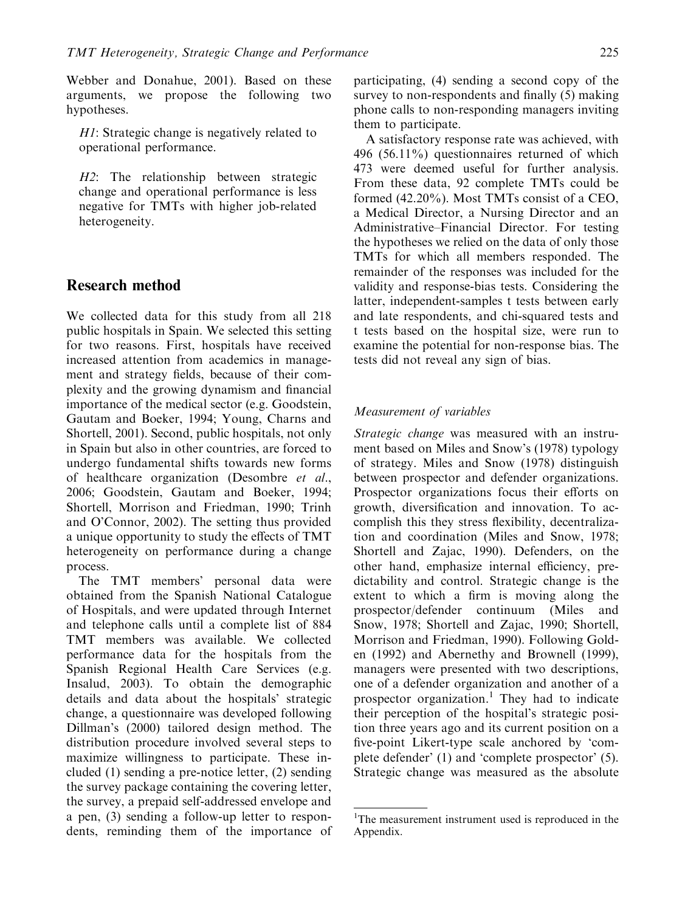Webber and Donahue, 2001). Based on these arguments, we propose the following two hypotheses.

H<sub>1</sub>: Strategic change is negatively related to operational performance.

H<sub>2</sub>: The relationship between strategic change and operational performance is less negative for TMTs with higher job-related heterogeneity.

## Research method

We collected data for this study from all 218 public hospitals in Spain. We selected this setting for two reasons. First, hospitals have received increased attention from academics in management and strategy fields, because of their complexity and the growing dynamism and financial importance of the medical sector (e.g. Goodstein, Gautam and Boeker, 1994; Young, Charns and Shortell, 2001). Second, public hospitals, not only in Spain but also in other countries, are forced to undergo fundamental shifts towards new forms of healthcare organization (Desombre et al., 2006; Goodstein, Gautam and Boeker, 1994; Shortell, Morrison and Friedman, 1990; Trinh and O'Connor, 2002). The setting thus provided a unique opportunity to study the effects of TMT heterogeneity on performance during a change process.

The TMT members' personal data were obtained from the Spanish National Catalogue of Hospitals, and were updated through Internet and telephone calls until a complete list of 884 TMT members was available. We collected performance data for the hospitals from the Spanish Regional Health Care Services (e.g. Insalud, 2003). To obtain the demographic details and data about the hospitals' strategic change, a questionnaire was developed following Dillman's (2000) tailored design method. The distribution procedure involved several steps to maximize willingness to participate. These included (1) sending a pre-notice letter, (2) sending the survey package containing the covering letter, the survey, a prepaid self-addressed envelope and a pen, (3) sending a follow-up letter to respondents, reminding them of the importance of participating, (4) sending a second copy of the survey to non-respondents and finally (5) making phone calls to non-responding managers inviting them to participate.

A satisfactory response rate was achieved, with 496 (56.11%) questionnaires returned of which 473 were deemed useful for further analysis. From these data, 92 complete TMTs could be formed (42.20%). Most TMTs consist of a CEO, a Medical Director, a Nursing Director and an Administrative–Financial Director. For testing the hypotheses we relied on the data of only those TMTs for which all members responded. The remainder of the responses was included for the validity and response-bias tests. Considering the latter, independent-samples t tests between early and late respondents, and chi-squared tests and t tests based on the hospital size, were run to examine the potential for non-response bias. The tests did not reveal any sign of bias.

#### Measurement of variables

Strategic change was measured with an instrument based on Miles and Snow's (1978) typology of strategy. Miles and Snow (1978) distinguish between prospector and defender organizations. Prospector organizations focus their efforts on growth, diversification and innovation. To accomplish this they stress flexibility, decentralization and coordination (Miles and Snow, 1978; Shortell and Zajac, 1990). Defenders, on the other hand, emphasize internal efficiency, predictability and control. Strategic change is the extent to which a firm is moving along the prospector/defender continuum (Miles and Snow, 1978; Shortell and Zajac, 1990; Shortell, Morrison and Friedman, 1990). Following Golden (1992) and Abernethy and Brownell (1999), managers were presented with two descriptions, one of a defender organization and another of a prospector organization.<sup>1</sup> They had to indicate their perception of the hospital's strategic position three years ago and its current position on a five-point Likert-type scale anchored by 'complete defender' (1) and 'complete prospector' (5). Strategic change was measured as the absolute

<sup>&</sup>lt;sup>1</sup>The measurement instrument used is reproduced in the Appendix.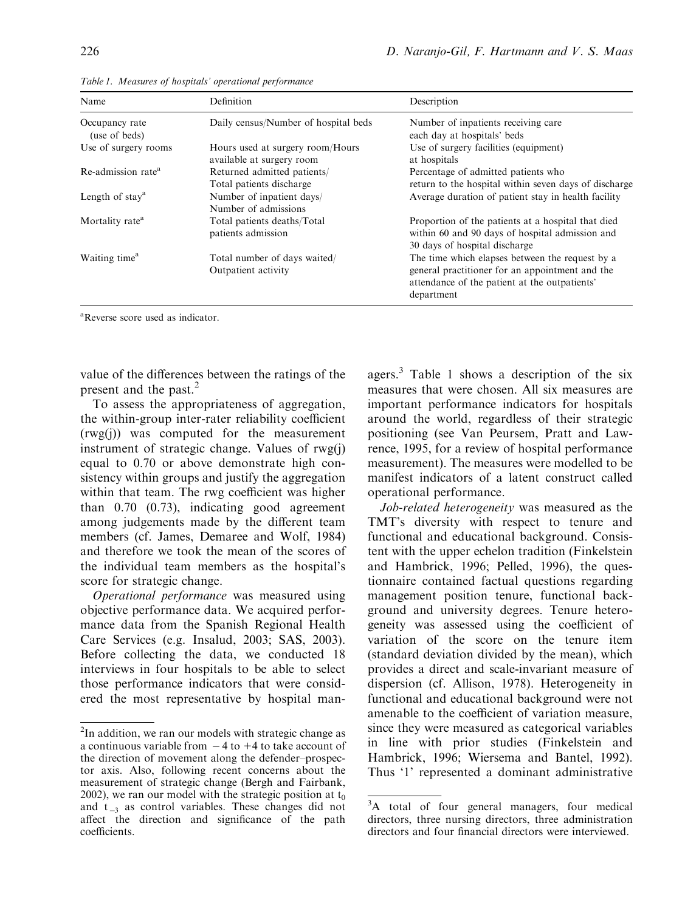| Name                            | Definition                                                    | Description                                                                                                                                                       |
|---------------------------------|---------------------------------------------------------------|-------------------------------------------------------------------------------------------------------------------------------------------------------------------|
| Occupancy rate<br>(use of beds) | Daily census/Number of hospital beds                          | Number of inpatients receiving care<br>each day at hospitals' beds                                                                                                |
| Use of surgery rooms            | Hours used at surgery room/Hours<br>available at surgery room | Use of surgery facilities (equipment)<br>at hospitals                                                                                                             |
| Re-admission rate <sup>a</sup>  | Returned admitted patients/<br>Total patients discharge       | Percentage of admitted patients who<br>return to the hospital within seven days of discharge                                                                      |
| Length of stay <sup>a</sup>     | Number of inpatient days/<br>Number of admissions             | Average duration of patient stay in health facility                                                                                                               |
| Mortality rate <sup>a</sup>     | Total patients deaths/Total<br>patients admission             | Proportion of the patients at a hospital that died<br>within 60 and 90 days of hospital admission and<br>30 days of hospital discharge                            |
| Waiting time <sup>a</sup>       | Total number of days waited/<br>Outpatient activity           | The time which elapses between the request by a<br>general practitioner for an appointment and the<br>attendance of the patient at the outpatients'<br>department |

Table 1. Measures of hospitals' operational performance

a Reverse score used as indicator.

value of the differences between the ratings of the present and the past. $^{2}$ 

To assess the appropriateness of aggregation, the within-group inter-rater reliability coefficient (rwg(j)) was computed for the measurement instrument of strategic change. Values of rwg(j) equal to 0.70 or above demonstrate high consistency within groups and justify the aggregation within that team. The rwg coefficient was higher than 0.70 (0.73), indicating good agreement among judgements made by the different team members (cf. James, Demaree and Wolf, 1984) and therefore we took the mean of the scores of the individual team members as the hospital's score for strategic change.

Operational performance was measured using objective performance data. We acquired performance data from the Spanish Regional Health Care Services (e.g. Insalud, 2003; SAS, 2003). Before collecting the data, we conducted 18 interviews in four hospitals to be able to select those performance indicators that were considered the most representative by hospital managers.3 Table 1 shows a description of the six measures that were chosen. All six measures are important performance indicators for hospitals around the world, regardless of their strategic positioning (see Van Peursem, Pratt and Lawrence, 1995, for a review of hospital performance measurement). The measures were modelled to be manifest indicators of a latent construct called operational performance.

Job-related heterogeneity was measured as the TMT's diversity with respect to tenure and functional and educational background. Consistent with the upper echelon tradition (Finkelstein and Hambrick, 1996; Pelled, 1996), the questionnaire contained factual questions regarding management position tenure, functional background and university degrees. Tenure heterogeneity was assessed using the coefficient of variation of the score on the tenure item (standard deviation divided by the mean), which provides a direct and scale-invariant measure of dispersion (cf. Allison, 1978). Heterogeneity in functional and educational background were not amenable to the coefficient of variation measure, since they were measured as categorical variables in line with prior studies (Finkelstein and Hambrick, 1996; Wiersema and Bantel, 1992). Thus '1' represented a dominant administrative

 $2$ In addition, we ran our models with strategic change as a continuous variable from  $-4$  to  $+4$  to take account of the direction of movement along the defender–prospector axis. Also, following recent concerns about the measurement of strategic change (Bergh and Fairbank, 2002), we ran our model with the strategic position at  $t_0$ and  $t_{-3}$  as control variables. These changes did not affect the direction and significance of the path coefficients.

<sup>&</sup>lt;sup>3</sup>A total of four general managers, four medical directors, three nursing directors, three administration directors and four financial directors were interviewed.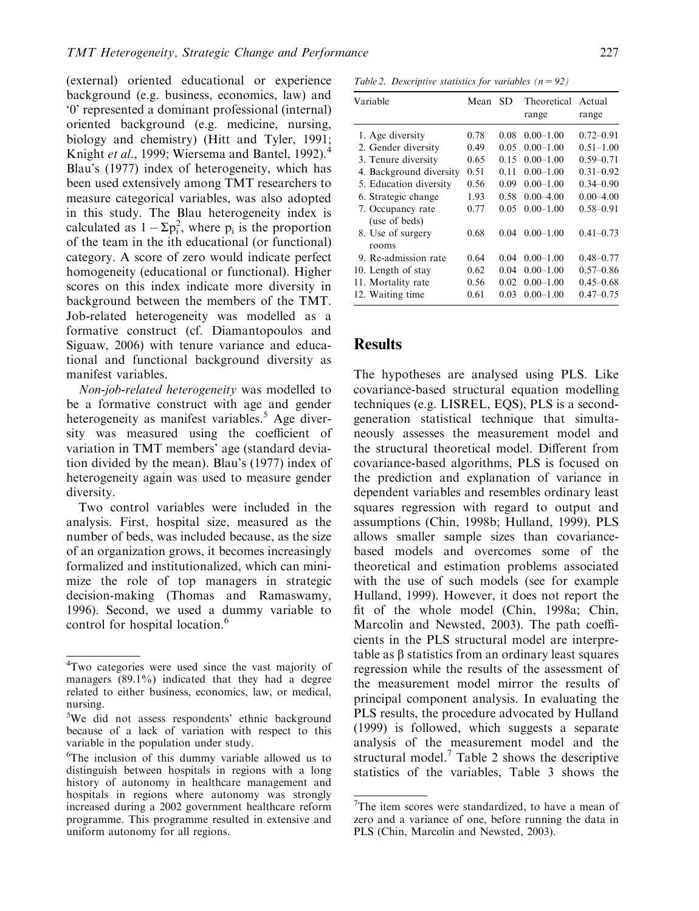(external) oriented educational or experience background (e.g. business, economics, law) and '0' represented a dominant professional (internal) oriented background (e.g. medicine, nursing, biology and chemistry) (Hitt and Tyler, 1991; Knight *et al.*, 1999; Wiersema and Bantel, 1992).<sup>4</sup> Blau's (1977) index of heterogeneity, which has been used extensively among TMT researchers to measure categorical variables, was also adopted in this study. The Blau heterogeneity index is calculated as  $1 - \Sigma p_i^2$ , where  $p_i$  is the proportion of the team in the ith educational (or functional) category. A score of zero would indicate perfect homogeneity (educational or functional). Higher scores on this index indicate more diversity in background between the members of the TMT. Job-related heterogeneity was modelled as a formative construct (cf. Diamantopoulos and Siguaw, 2006) with tenure variance and educational and functional background diversity as manifest variables.

Non-job-related heterogeneity was modelled to be a formative construct with age and gender heterogeneity as manifest variables.<sup>5</sup> Age diversity was measured using the coefficient of variation in TMT members' age (standard deviation divided by the mean). Blau's (1977) index of heterogeneity again was used to measure gender diversity.

Two control variables were included in the analysis. First, hospital size, measured as the number of beds, was included because, as the size of an organization grows, it becomes increasingly formalized and institutionalized, which can minimize the role of top managers in strategic decision-making (Thomas and Ramaswamy, 1996). Second, we used a dummy variable to control for hospital location.<sup>6</sup>

Table 2. Descriptive statistics for variables  $(n = 92)$ 

| Variable                           | Mean | SD.  | <b>Theoretical</b><br>range | Actual<br>range |
|------------------------------------|------|------|-----------------------------|-----------------|
| 1. Age diversity                   | 0.78 | 0.08 | $0.00 - 1.00$               | $0.72 - 0.91$   |
| 2. Gender diversity                | 0.49 | 0.05 | $0.00 - 1.00$               | $0.51 - 1.00$   |
| 3. Tenure diversity                | 0.65 | 0.15 | $0.00 - 1.00$               | $0.59 - 0.71$   |
| 4. Background diversity            | 0.51 | 0.11 | $0.00 - 1.00$               | $0.31 - 0.92$   |
| 5. Education diversity             | 0.56 | 0.09 | $0.00 - 1.00$               | $0.34 - 0.90$   |
| 6. Strategic change                | 1.93 | 0.58 | $0.00 - 4.00$               | $0.00 - 4.00$   |
| 7. Occupancy rate<br>(use of beds) | 0.77 | 0.05 | $0.00 - 1.00$               | $0.58 - 0.91$   |
| 8. Use of surgery<br>rooms         | 0.68 | 0.04 | $0.00 - 1.00$               | $0.41 - 0.73$   |
| 9. Re-admission rate               | 0.64 | 0.04 | $0.00 - 1.00$               | $0.48 - 0.77$   |
| 10. Length of stay                 | 0.62 | 0.04 | $0.00 - 1.00$               | $0.57 - 0.86$   |
| 11. Mortality rate                 | 0.56 | 0.02 | $0.00 - 1.00$               | $0.45 - 0.68$   |
| 12. Waiting time                   | 0.61 | 0.03 | $0.00 - 1.00$               | $0.47 - 0.75$   |

## **Results**

The hypotheses are analysed using PLS. Like covariance-based structural equation modelling techniques (e.g. LISREL, EQS), PLS is a secondgeneration statistical technique that simultaneously assesses the measurement model and the structural theoretical model. Different from covariance-based algorithms, PLS is focused on the prediction and explanation of variance in dependent variables and resembles ordinary least squares regression with regard to output and assumptions (Chin, 1998b; Hulland, 1999). PLS allows smaller sample sizes than covariancebased models and overcomes some of the theoretical and estimation problems associated with the use of such models (see for example Hulland, 1999). However, it does not report the fit of the whole model (Chin, 1998a; Chin, Marcolin and Newsted, 2003). The path coefficients in the PLS structural model are interpretable as  $\beta$  statistics from an ordinary least squares regression while the results of the assessment of the measurement model mirror the results of principal component analysis. In evaluating the PLS results, the procedure advocated by Hulland (1999) is followed, which suggests a separate analysis of the measurement model and the structural model.<sup>7</sup> Table 2 shows the descriptive statistics of the variables, Table 3 shows the

<sup>&</sup>lt;sup>4</sup>Two categories were used since the vast majority of managers (89.1%) indicated that they had a degree related to either business, economics, law, or medical, nursing.

<sup>&</sup>lt;sup>5</sup>We did not assess respondents' ethnic background because of a lack of variation with respect to this variable in the population under study.

<sup>&</sup>lt;sup>6</sup>The inclusion of this dummy variable allowed us to distinguish between hospitals in regions with a long history of autonomy in healthcare management and hospitals in regions where autonomy was strongly increased during a 2002 government healthcare reform programme. This programme resulted in extensive and uniform autonomy for all regions.

<sup>&</sup>lt;sup>7</sup>The item scores were standardized, to have a mean of zero and a variance of one, before running the data in PLS (Chin, Marcolin and Newsted, 2003).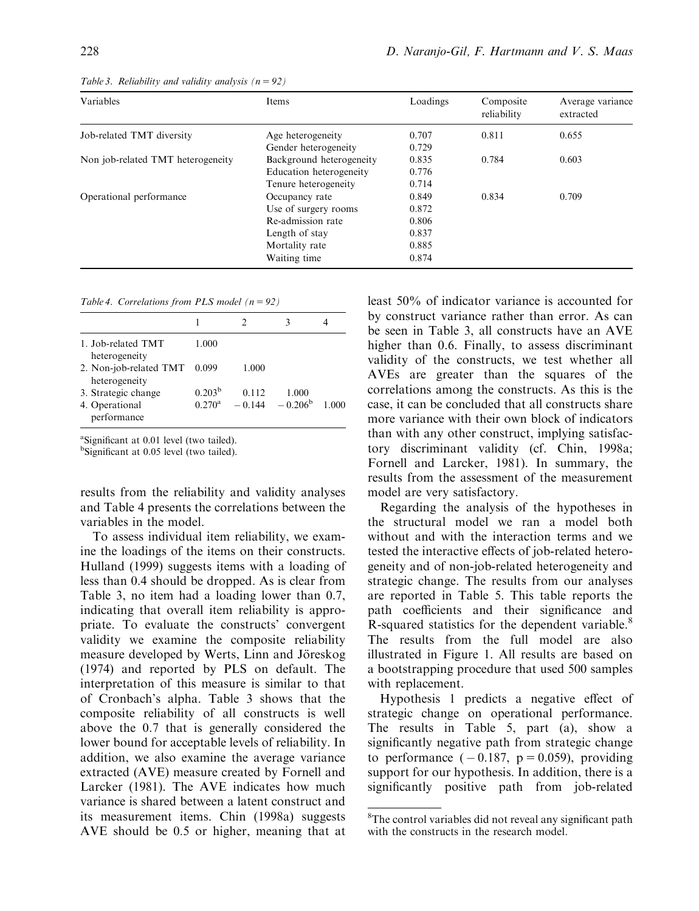| Variables                         | Items                    | Loadings | Composite<br>reliability | Average variance<br>extracted |
|-----------------------------------|--------------------------|----------|--------------------------|-------------------------------|
| Job-related TMT diversity         | Age heterogeneity        | 0.707    | 0.811                    | 0.655                         |
|                                   | Gender heterogeneity     | 0.729    |                          |                               |
| Non job-related TMT heterogeneity | Background heterogeneity | 0.835    | 0.784                    | 0.603                         |
|                                   | Education heterogeneity  | 0.776    |                          |                               |
|                                   | Tenure heterogeneity     | 0.714    |                          |                               |
| Operational performance           | Occupancy rate           | 0.849    | 0.834                    | 0.709                         |
|                                   | Use of surgery rooms     | 0.872    |                          |                               |
|                                   | Re-admission rate        | 0.806    |                          |                               |
|                                   | Length of stay           | 0.837    |                          |                               |
|                                   | Mortality rate           | 0.885    |                          |                               |
|                                   | Waiting time             | 0.874    |                          |                               |

Table 3. Reliability and validity analysis  $(n = 92)$ 

Table 4. Correlations from PLS model  $(n = 92)$ 

| 1. Job-related TMT<br>heterogeneity     | 1.000              |          |              |       |
|-----------------------------------------|--------------------|----------|--------------|-------|
| 2. Non-job-related TMT<br>heterogeneity | 0.099              | 1.000    |              |       |
| 3. Strategic change                     | 0.203 <sup>b</sup> | 0.112    | 1.000        |       |
| 4. Operational<br>performance           | $0.270^a$          | $-0.144$ | $-0.206^{b}$ | 1.000 |

<sup>a</sup>Significant at 0.01 level (two tailed).

b Significant at 0.05 level (two tailed).

results from the reliability and validity analyses and Table 4 presents the correlations between the variables in the model.

To assess individual item reliability, we examine the loadings of the items on their constructs. Hulland (1999) suggests items with a loading of less than 0.4 should be dropped. As is clear from Table 3, no item had a loading lower than 0.7, indicating that overall item reliability is appropriate. To evaluate the constructs' convergent validity we examine the composite reliability measure developed by Werts, Linn and Jöreskog (1974) and reported by PLS on default. The interpretation of this measure is similar to that of Cronbach's alpha. Table 3 shows that the composite reliability of all constructs is well above the 0.7 that is generally considered the lower bound for acceptable levels of reliability. In addition, we also examine the average variance extracted (AVE) measure created by Fornell and Larcker (1981). The AVE indicates how much variance is shared between a latent construct and its measurement items. Chin (1998a) suggests AVE should be 0.5 or higher, meaning that at least 50% of indicator variance is accounted for by construct variance rather than error. As can be seen in Table 3, all constructs have an AVE higher than 0.6. Finally, to assess discriminant validity of the constructs, we test whether all AVEs are greater than the squares of the correlations among the constructs. As this is the case, it can be concluded that all constructs share more variance with their own block of indicators than with any other construct, implying satisfactory discriminant validity (cf. Chin, 1998a; Fornell and Larcker, 1981). In summary, the results from the assessment of the measurement model are very satisfactory.

Regarding the analysis of the hypotheses in the structural model we ran a model both without and with the interaction terms and we tested the interactive effects of job-related heterogeneity and of non-job-related heterogeneity and strategic change. The results from our analyses are reported in Table 5. This table reports the path coefficients and their significance and R-squared statistics for the dependent variable.<sup>8</sup> The results from the full model are also illustrated in Figure 1. All results are based on a bootstrapping procedure that used 500 samples with replacement.

Hypothesis 1 predicts a negative effect of strategic change on operational performance. The results in Table 5, part (a), show a significantly negative path from strategic change to performance  $(-0.187, p = 0.059)$ , providing support for our hypothesis. In addition, there is a significantly positive path from job-related

<sup>&</sup>lt;sup>8</sup>The control variables did not reveal any significant path with the constructs in the research model.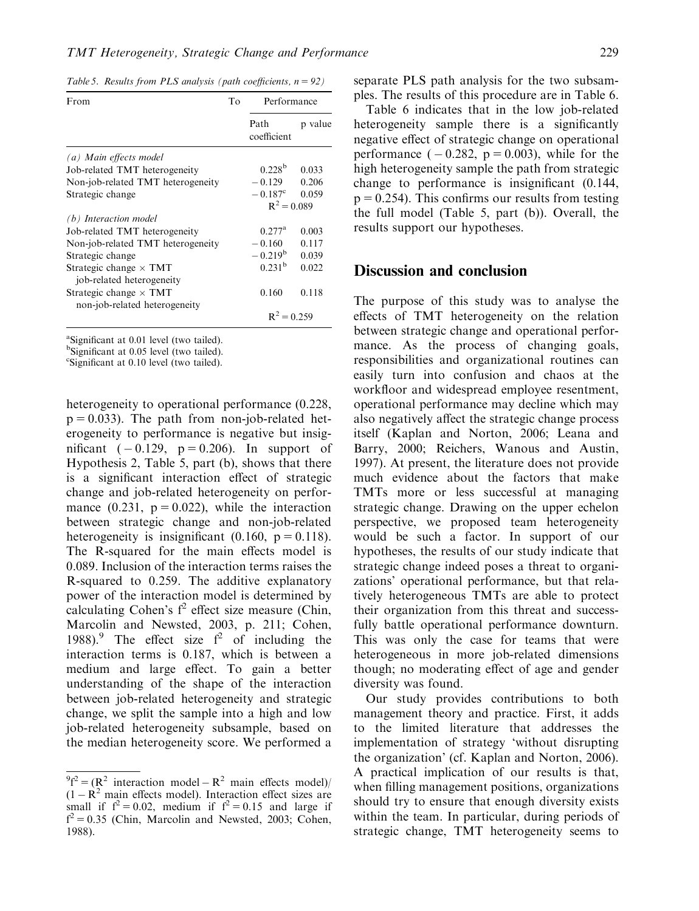Table 5. Results from PLS analysis (path coefficients,  $n = 92$ )

| From                                                           | Tο | Performance            |         |
|----------------------------------------------------------------|----|------------------------|---------|
|                                                                |    | Path<br>coefficient    | p value |
| (a) Main effects model                                         |    |                        |         |
| Job-related TMT heterogeneity                                  |    | 0.228 <sup>b</sup>     | 0.033   |
| Non-job-related TMT heterogeneity                              |    | $-0.129$               | 0.206   |
| Strategic change                                               |    | $-0.187^{\circ}$ 0.059 |         |
|                                                                |    | $R^2 = 0.089$          |         |
| (b) Interaction model                                          |    |                        |         |
| Job-related TMT heterogeneity                                  |    | $0.277^{\rm a}$        | 0.003   |
| Non-job-related TMT heterogeneity                              |    | $-0.160$               | 0.117   |
| Strategic change                                               |    | $-0.219^{b}$           | 0.039   |
| Strategic change $\times$ TMT<br>job-related heterogeneity     |    | 0.231 <sup>b</sup>     | 0.022   |
| Strategic change $\times$ TMT<br>non-job-related heterogeneity |    | 0.160                  | 0.118   |
|                                                                |    | $R^2 = 0.259$          |         |

<sup>a</sup>Significant at 0.01 level (two tailed).

b Significant at 0.05 level (two tailed).

c Significant at 0.10 level (two tailed).

heterogeneity to operational performance (0.228,  $p = 0.033$ ). The path from non-job-related heterogeneity to performance is negative but insignificant  $(-0.129, p = 0.206)$ . In support of Hypothesis 2, Table 5, part (b), shows that there is a significant interaction effect of strategic change and job-related heterogeneity on performance  $(0.231, p = 0.022)$ , while the interaction between strategic change and non-job-related heterogeneity is insignificant (0.160,  $p = 0.118$ ). The R-squared for the main effects model is 0.089. Inclusion of the interaction terms raises the R-squared to 0.259. The additive explanatory power of the interaction model is determined by calculating Cohen's  $f^2$  effect size measure (Chin, Marcolin and Newsted, 2003, p. 211; Cohen, 1988). The effect size  $f^2$  of including the interaction terms is 0.187, which is between a medium and large effect. To gain a better understanding of the shape of the interaction between job-related heterogeneity and strategic change, we split the sample into a high and low job-related heterogeneity subsample, based on the median heterogeneity score. We performed a separate PLS path analysis for the two subsamples. The results of this procedure are in Table 6.

Table 6 indicates that in the low job-related heterogeneity sample there is a significantly negative effect of strategic change on operational performance  $(-0.282, p = 0.003)$ , while for the high heterogeneity sample the path from strategic change to performance is insignificant (0.144,  $p = 0.254$ . This confirms our results from testing the full model (Table 5, part (b)). Overall, the results support our hypotheses.

### Discussion and conclusion

The purpose of this study was to analyse the effects of TMT heterogeneity on the relation between strategic change and operational performance. As the process of changing goals, responsibilities and organizational routines can easily turn into confusion and chaos at the workfloor and widespread employee resentment, operational performance may decline which may also negatively affect the strategic change process itself (Kaplan and Norton, 2006; Leana and Barry, 2000; Reichers, Wanous and Austin, 1997). At present, the literature does not provide much evidence about the factors that make TMTs more or less successful at managing strategic change. Drawing on the upper echelon perspective, we proposed team heterogeneity would be such a factor. In support of our hypotheses, the results of our study indicate that strategic change indeed poses a threat to organizations' operational performance, but that relatively heterogeneous TMTs are able to protect their organization from this threat and successfully battle operational performance downturn. This was only the case for teams that were heterogeneous in more job-related dimensions though; no moderating effect of age and gender diversity was found.

Our study provides contributions to both management theory and practice. First, it adds to the limited literature that addresses the implementation of strategy 'without disrupting the organization' (cf. Kaplan and Norton, 2006). A practical implication of our results is that, when filling management positions, organizations should try to ensure that enough diversity exists within the team. In particular, during periods of strategic change, TMT heterogeneity seems to

 $^{9}f^{2} = (R^{2} \text{ interaction model} - R^{2} \text{ main effects model})/$  $(1 - R^2)$  main effects model). Interaction effect sizes are small if  $f^2 = 0.02$ , medium if  $f^2 = 0.15$  and large if  $f^2 = 0.35$  (Chin, Marcolin and Newsted, 2003; Cohen, 1988).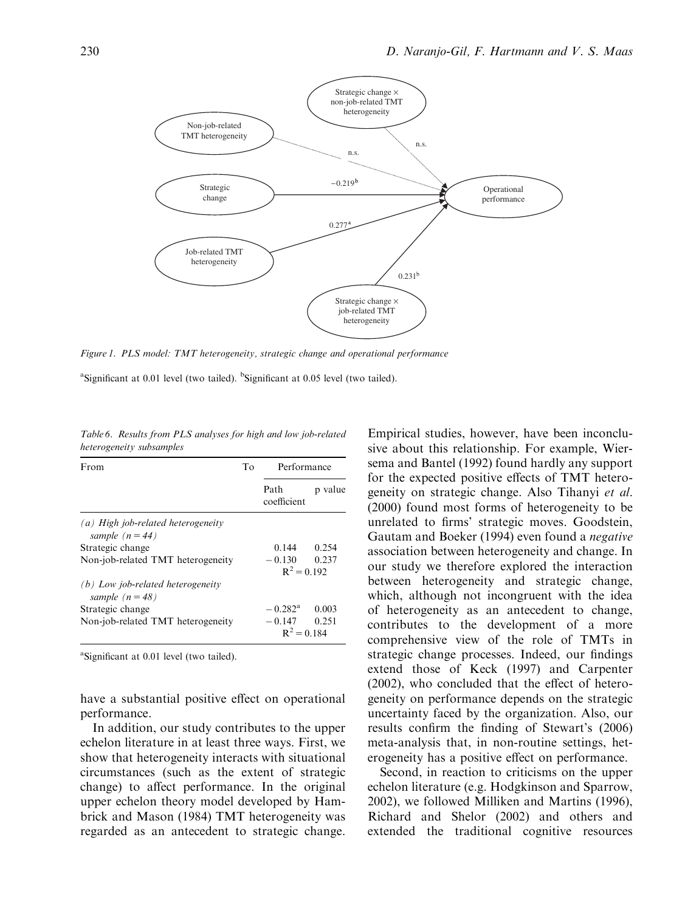

Figure 1. PLS model: TMT heterogeneity, strategic change and operational performance

<sup>a</sup>Significant at 0.01 level (two tailed). <sup>b</sup>Significant at 0.05 level (two tailed).

Table 6. Results from PLS analyses for high and low job-related heterogeneity subsamples

| From                                 | To | Performance           |         |
|--------------------------------------|----|-----------------------|---------|
|                                      |    | Path<br>coefficient   | p value |
| $(a)$ High job-related heterogeneity |    |                       |         |
| sample $(n = 44)$                    |    |                       |         |
| Strategic change                     |    | 0.144                 | 0.254   |
| Non-job-related TMT heterogeneity    |    | $-0.130$ 0.237        |         |
|                                      |    | $R^2 = 0.192$         |         |
| $(b)$ Low job-related heterogeneity  |    |                       |         |
| sample $(n=48)$                      |    |                       |         |
| Strategic change                     |    | $-0.282$ <sup>a</sup> | 0.003   |
| Non-job-related TMT heterogeneity    |    | $-0.147$ 0.251        |         |
|                                      |    | $R^2 = 0.184$         |         |

a Significant at 0.01 level (two tailed).

have a substantial positive effect on operational performance.

In addition, our study contributes to the upper echelon literature in at least three ways. First, we show that heterogeneity interacts with situational circumstances (such as the extent of strategic change) to affect performance. In the original upper echelon theory model developed by Hambrick and Mason (1984) TMT heterogeneity was regarded as an antecedent to strategic change.

Empirical studies, however, have been inconclusive about this relationship. For example, Wiersema and Bantel (1992) found hardly any support for the expected positive effects of TMT heterogeneity on strategic change. Also Tihanyi et al. (2000) found most forms of heterogeneity to be unrelated to firms' strategic moves. Goodstein, Gautam and Boeker (1994) even found a negative association between heterogeneity and change. In our study we therefore explored the interaction between heterogeneity and strategic change, which, although not incongruent with the idea of heterogeneity as an antecedent to change, contributes to the development of a more comprehensive view of the role of TMTs in strategic change processes. Indeed, our findings extend those of Keck (1997) and Carpenter (2002), who concluded that the effect of heterogeneity on performance depends on the strategic uncertainty faced by the organization. Also, our results confirm the finding of Stewart's (2006) meta-analysis that, in non-routine settings, heterogeneity has a positive effect on performance.

Second, in reaction to criticisms on the upper echelon literature (e.g. Hodgkinson and Sparrow, 2002), we followed Milliken and Martins (1996), Richard and Shelor (2002) and others and extended the traditional cognitive resources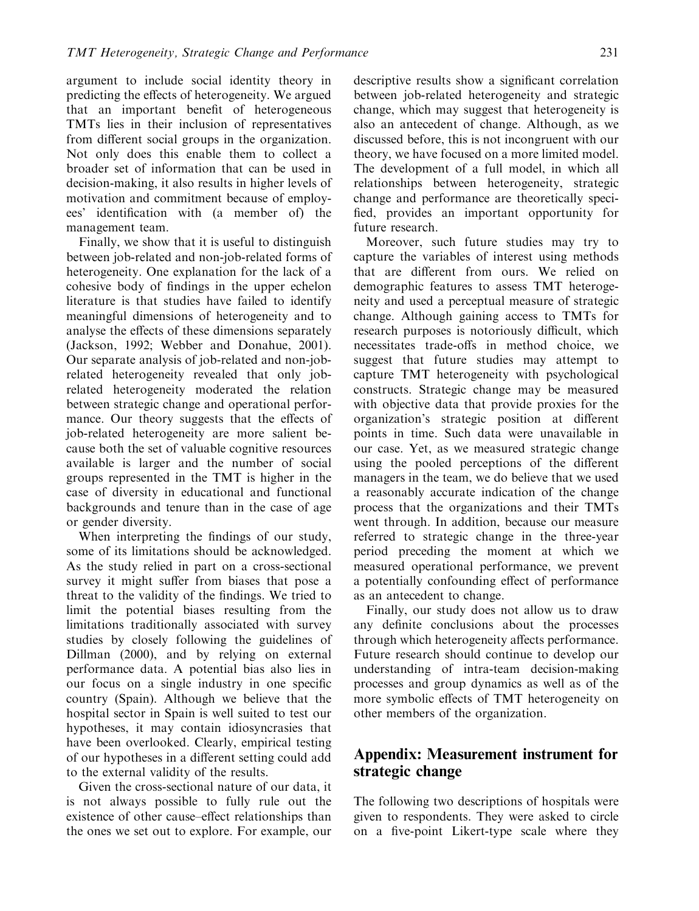argument to include social identity theory in predicting the effects of heterogeneity. We argued that an important benefit of heterogeneous TMTs lies in their inclusion of representatives from different social groups in the organization. Not only does this enable them to collect a broader set of information that can be used in decision-making, it also results in higher levels of motivation and commitment because of employees' identification with (a member of) the management team.

Finally, we show that it is useful to distinguish between job-related and non-job-related forms of heterogeneity. One explanation for the lack of a cohesive body of findings in the upper echelon literature is that studies have failed to identify meaningful dimensions of heterogeneity and to analyse the effects of these dimensions separately (Jackson, 1992; Webber and Donahue, 2001). Our separate analysis of job-related and non-jobrelated heterogeneity revealed that only jobrelated heterogeneity moderated the relation between strategic change and operational performance. Our theory suggests that the effects of job-related heterogeneity are more salient because both the set of valuable cognitive resources available is larger and the number of social groups represented in the TMT is higher in the case of diversity in educational and functional backgrounds and tenure than in the case of age or gender diversity.

When interpreting the findings of our study, some of its limitations should be acknowledged. As the study relied in part on a cross-sectional survey it might suffer from biases that pose a threat to the validity of the findings. We tried to limit the potential biases resulting from the limitations traditionally associated with survey studies by closely following the guidelines of Dillman (2000), and by relying on external performance data. A potential bias also lies in our focus on a single industry in one specific country (Spain). Although we believe that the hospital sector in Spain is well suited to test our hypotheses, it may contain idiosyncrasies that have been overlooked. Clearly, empirical testing of our hypotheses in a different setting could add to the external validity of the results.

Given the cross-sectional nature of our data, it is not always possible to fully rule out the existence of other cause–effect relationships than the ones we set out to explore. For example, our descriptive results show a significant correlation between job-related heterogeneity and strategic change, which may suggest that heterogeneity is also an antecedent of change. Although, as we discussed before, this is not incongruent with our theory, we have focused on a more limited model. The development of a full model, in which all relationships between heterogeneity, strategic change and performance are theoretically specified, provides an important opportunity for future research.

Moreover, such future studies may try to capture the variables of interest using methods that are different from ours. We relied on demographic features to assess TMT heterogeneity and used a perceptual measure of strategic change. Although gaining access to TMTs for research purposes is notoriously difficult, which necessitates trade-offs in method choice, we suggest that future studies may attempt to capture TMT heterogeneity with psychological constructs. Strategic change may be measured with objective data that provide proxies for the organization's strategic position at different points in time. Such data were unavailable in our case. Yet, as we measured strategic change using the pooled perceptions of the different managers in the team, we do believe that we used a reasonably accurate indication of the change process that the organizations and their TMTs went through. In addition, because our measure referred to strategic change in the three-year period preceding the moment at which we measured operational performance, we prevent a potentially confounding effect of performance as an antecedent to change.

Finally, our study does not allow us to draw any definite conclusions about the processes through which heterogeneity affects performance. Future research should continue to develop our understanding of intra-team decision-making processes and group dynamics as well as of the more symbolic effects of TMT heterogeneity on other members of the organization.

## Appendix: Measurement instrument for strategic change

The following two descriptions of hospitals were given to respondents. They were asked to circle on a five-point Likert-type scale where they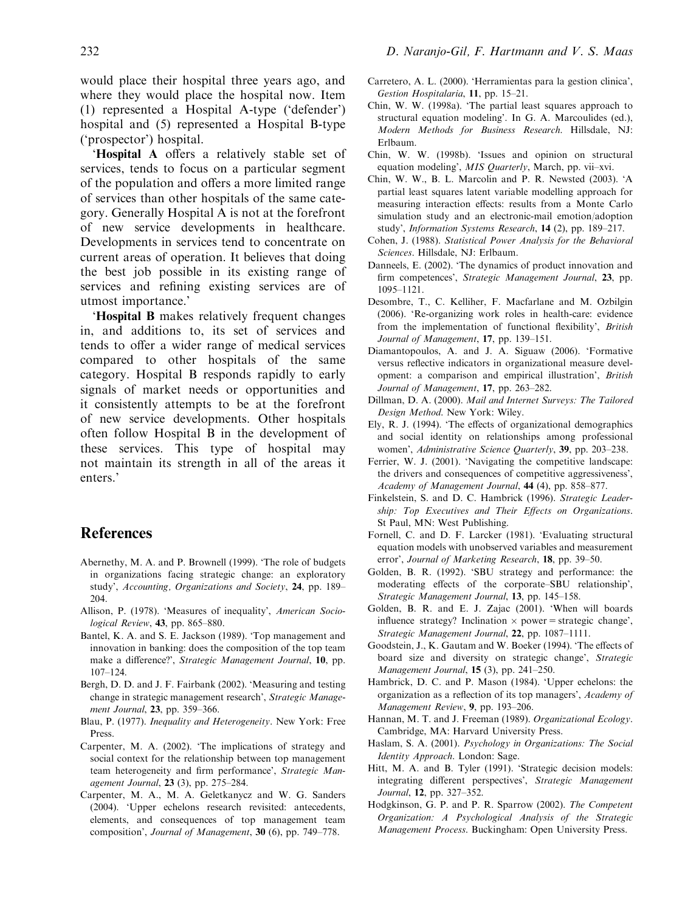would place their hospital three years ago, and where they would place the hospital now. Item (1) represented a Hospital A-type ('defender') hospital and (5) represented a Hospital B-type ('prospector') hospital.

'Hospital A offers a relatively stable set of services, tends to focus on a particular segment of the population and offers a more limited range of services than other hospitals of the same category. Generally Hospital A is not at the forefront of new service developments in healthcare. Developments in services tend to concentrate on current areas of operation. It believes that doing the best job possible in its existing range of services and refining existing services are of utmost importance.'

'Hospital B makes relatively frequent changes in, and additions to, its set of services and tends to offer a wider range of medical services compared to other hospitals of the same category. Hospital B responds rapidly to early signals of market needs or opportunities and it consistently attempts to be at the forefront of new service developments. Other hospitals often follow Hospital B in the development of these services. This type of hospital may not maintain its strength in all of the areas it enters.'

# **References**

- Abernethy, M. A. and P. Brownell (1999). 'The role of budgets in organizations facing strategic change: an exploratory study', Accounting, Organizations and Society, 24, pp. 189– 204.
- Allison, P. (1978). 'Measures of inequality', American Sociological Review, 43, pp. 865–880.
- Bantel, K. A. and S. E. Jackson (1989). 'Top management and innovation in banking: does the composition of the top team make a difference?', Strategic Management Journal, 10, pp. 107–124.
- Bergh, D. D. and J. F. Fairbank (2002). 'Measuring and testing change in strategic management research', Strategic Management Journal, 23, pp. 359-366.
- Blau, P. (1977). Inequality and Heterogeneity. New York: Free Press.
- Carpenter, M. A. (2002). 'The implications of strategy and social context for the relationship between top management team heterogeneity and firm performance', Strategic Management Journal, 23 (3), pp. 275–284.
- Carpenter, M. A., M. A. Geletkanycz and W. G. Sanders (2004). 'Upper echelons research revisited: antecedents, elements, and consequences of top management team composition', Journal of Management, 30 (6), pp. 749–778.
- Carretero, A. L. (2000). 'Herramientas para la gestion clinica', Gestion Hospitalaria, 11, pp. 15–21.
- Chin, W. W. (1998a). 'The partial least squares approach to structural equation modeling'. In G. A. Marcoulides (ed.), Modern Methods for Business Research. Hillsdale, NJ: Erlbaum.
- Chin, W. W. (1998b). 'Issues and opinion on structural equation modeling', MIS Quarterly, March, pp. vii–xvi.
- Chin, W. W., B. L. Marcolin and P. R. Newsted (2003). 'A partial least squares latent variable modelling approach for measuring interaction effects: results from a Monte Carlo simulation study and an electronic-mail emotion/adoption study', Information Systems Research, 14 (2), pp. 189–217.
- Cohen, J. (1988). Statistical Power Analysis for the Behavioral Sciences. Hillsdale, NJ: Erlbaum.
- Danneels, E. (2002). 'The dynamics of product innovation and firm competences', Strategic Management Journal, 23, pp. 1095–1121.
- Desombre, T., C. Kelliher, F. Macfarlane and M. Ozbilgin (2006). 'Re-organizing work roles in health-care: evidence from the implementation of functional flexibility', British Journal of Management, 17, pp. 139–151.
- Diamantopoulos, A. and J. A. Siguaw (2006). 'Formative versus reflective indicators in organizational measure development: a comparison and empirical illustration', British Journal of Management, 17, pp. 263-282.
- Dillman, D. A. (2000). Mail and Internet Surveys: The Tailored Design Method. New York: Wiley.
- Ely, R. J. (1994). 'The effects of organizational demographics and social identity on relationships among professional women', Administrative Science Quarterly, 39, pp. 203–238.
- Ferrier, W. J. (2001). 'Navigating the competitive landscape: the drivers and consequences of competitive aggressiveness', Academy of Management Journal, 44 (4), pp. 858-877.
- Finkelstein, S. and D. C. Hambrick (1996). Strategic Leadership: Top Executives and Their Effects on Organizations. St Paul, MN: West Publishing.
- Fornell, C. and D. F. Larcker (1981). 'Evaluating structural equation models with unobserved variables and measurement error', Journal of Marketing Research, 18, pp. 39–50.
- Golden, B. R. (1992). 'SBU strategy and performance: the moderating effects of the corporate–SBU relationship', Strategic Management Journal, 13, pp. 145–158.
- Golden, B. R. and E. J. Zajac (2001). 'When will boards influence strategy? Inclination  $\times$  power = strategic change', Strategic Management Journal, 22, pp. 1087–1111.
- Goodstein, J., K. Gautam and W. Boeker (1994). 'The effects of board size and diversity on strategic change', Strategic Management Journal, 15 (3), pp. 241–250.
- Hambrick, D. C. and P. Mason (1984). 'Upper echelons: the organization as a reflection of its top managers', Academy of Management Review, 9, pp. 193–206.
- Hannan, M. T. and J. Freeman (1989). Organizational Ecology. Cambridge, MA: Harvard University Press.
- Haslam, S. A. (2001). Psychology in Organizations: The Social Identity Approach. London: Sage.
- Hitt, M. A. and B. Tyler (1991). 'Strategic decision models: integrating different perspectives', Strategic Management Journal, 12, pp. 327–352.
- Hodgkinson, G. P. and P. R. Sparrow (2002). The Competent Organization: A Psychological Analysis of the Strategic Management Process. Buckingham: Open University Press.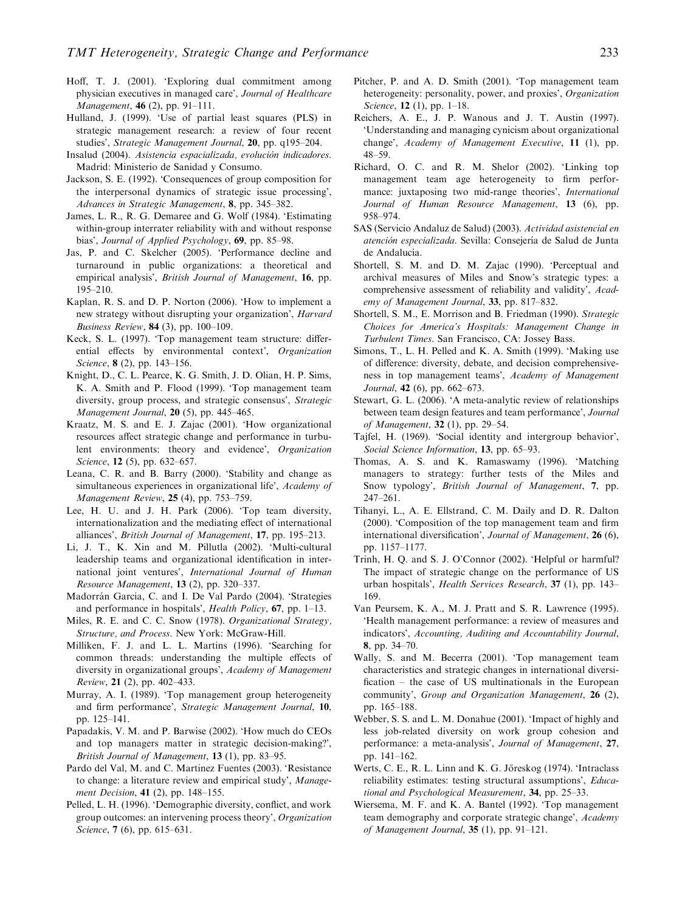- Hoff, T. J. (2001). 'Exploring dual commitment among physician executives in managed care', Journal of Healthcare Management, 46 (2), pp. 91–111.
- Hulland, J. (1999). 'Use of partial least squares (PLS) in strategic management research: a review of four recent studies', Strategic Management Journal, 20, pp. q195–204.
- Insalud (2004). Asistencia espacializada, evolución indicadores. Madrid: Ministerio de Sanidad y Consumo.
- Jackson, S. E. (1992). 'Consequences of group composition for the interpersonal dynamics of strategic issue processing', Advances in Strategic Management, 8, pp. 345–382.
- James, L. R., R. G. Demaree and G. Wolf (1984). 'Estimating within-group interrater reliability with and without response bias', Journal of Applied Psychology, 69, pp. 85–98.
- Jas, P. and C. Skelcher (2005). 'Performance decline and turnaround in public organizations: a theoretical and empirical analysis', *British Journal of Management*, 16, pp. 195–210.
- Kaplan, R. S. and D. P. Norton (2006). 'How to implement a new strategy without disrupting your organization', Harvard Business Review, 84 (3), pp. 100–109.
- Keck, S. L. (1997). 'Top management team structure: differential effects by environmental context', Organization Science, 8 (2), pp. 143-156.
- Knight, D., C. L. Pearce, K. G. Smith, J. D. Olian, H. P. Sims, K. A. Smith and P. Flood (1999). 'Top management team diversity, group process, and strategic consensus', Strategic Management Journal, 20 (5), pp. 445–465.
- Kraatz, M. S. and E. J. Zajac (2001). 'How organizational resources affect strategic change and performance in turbulent environments: theory and evidence', Organization Science, **12** (5), pp. 632–657.
- Leana, C. R. and B. Barry (2000). 'Stability and change as simultaneous experiences in organizational life', Academy of Management Review, 25 (4), pp. 753–759.
- Lee, H. U. and J. H. Park (2006). 'Top team diversity, internationalization and the mediating effect of international alliances', British Journal of Management, 17, pp. 195–213.
- Li, J. T., K. Xin and M. Pillutla (2002). 'Multi-cultural leadership teams and organizational identification in international joint ventures', International Journal of Human Resource Management, 13 (2), pp. 320–337.
- Madorrán Garcia, C. and I. De Val Pardo (2004). 'Strategies and performance in hospitals', Health Policy, 67, pp. 1–13.
- Miles, R. E. and C. C. Snow (1978). Organizational Strategy, Structure, and Process. New York: McGraw-Hill.
- Milliken, F. J. and L. L. Martins (1996). 'Searching for common threads: understanding the multiple effects of diversity in organizational groups', Academy of Management Review, 21 (2), pp. 402–433.
- Murray, A. I. (1989). 'Top management group heterogeneity and firm performance', Strategic Management Journal, 10, pp. 125–141.
- Papadakis, V. M. and P. Barwise (2002). 'How much do CEOs and top managers matter in strategic decision-making?', British Journal of Management, 13 (1), pp. 83-95.
- Pardo del Val, M. and C. Martinez Fuentes (2003). 'Resistance to change: a literature review and empirical study', Management Decision, 41 (2), pp. 148-155.
- Pelled, L. H. (1996). 'Demographic diversity, conflict, and work group outcomes: an intervening process theory', Organization Science, 7 (6), pp. 615–631.
- Pitcher, P. and A. D. Smith (2001). 'Top management team heterogeneity: personality, power, and proxies', Organization Science, **12** (1), pp. 1-18.
- Reichers, A. E., J. P. Wanous and J. T. Austin (1997). 'Understanding and managing cynicism about organizational change', Academy of Management Executive, 11 (1), pp. 48–59.
- Richard, O. C. and R. M. Shelor (2002). 'Linking top management team age heterogeneity to firm performance: juxtaposing two mid-range theories', International Journal of Human Resource Management, 13 (6), pp. 958–974.
- SAS (Servicio Andaluz de Salud) (2003). Actividad asistencial en atención especializada. Sevilla: Consejería de Salud de Junta de Andalucía.
- Shortell, S. M. and D. M. Zajac (1990). 'Perceptual and archival measures of Miles and Snow's strategic types: a comprehensive assessment of reliability and validity', Academy of Management Journal, 33, pp. 817-832.
- Shortell, S. M., E. Morrison and B. Friedman (1990). Strategic Choices for America's Hospitals: Management Change in Turbulent Times. San Francisco, CA: Jossey Bass.
- Simons, T., L. H. Pelled and K. A. Smith (1999). 'Making use of difference: diversity, debate, and decision comprehensiveness in top management teams', Academy of Management Journal, **42** (6), pp. 662-673.
- Stewart, G. L. (2006). 'A meta-analytic review of relationships between team design features and team performance', Journal of Management, 32 (1), pp. 29–54.
- Tajfel, H. (1969). 'Social identity and intergroup behavior', Social Science Information, 13, pp. 65–93.
- Thomas, A. S. and K. Ramaswamy (1996). 'Matching managers to strategy: further tests of the Miles and Snow typology', British Journal of Management, 7, pp. 247–261.
- Tihanyi, L., A. E. Ellstrand, C. M. Daily and D. R. Dalton (2000). 'Composition of the top management team and firm international diversification', Journal of Management, 26 (6), pp. 1157–1177.
- Trinh, H. Q. and S. J. O'Connor (2002). 'Helpful or harmful? The impact of strategic change on the performance of US urban hospitals', Health Services Research, 37 (1), pp. 143– 169.
- Van Peursem, K. A., M. J. Pratt and S. R. Lawrence (1995). 'Health management performance: a review of measures and indicators', Accounting, Auditing and Accountability Journal, 8, pp. 34–70.
- Wally, S. and M. Becerra (2001). 'Top management team characteristics and strategic changes in international diversification – the case of US multinationals in the European community', Group and Organization Management, 26 (2), pp. 165–188.
- Webber, S. S. and L. M. Donahue (2001). 'Impact of highly and less job-related diversity on work group cohesion and performance: a meta-analysis', Journal of Management, 27, pp. 141–162.
- Werts, C. E., R. L. Linn and K. G. Jöreskog (1974). 'Intraclass reliability estimates: testing structural assumptions', Educational and Psychological Measurement, 34, pp. 25–33.
- Wiersema, M. F. and K. A. Bantel (1992). 'Top management team demography and corporate strategic change', Academy of Management Journal,  $35(1)$ , pp. 91-121.